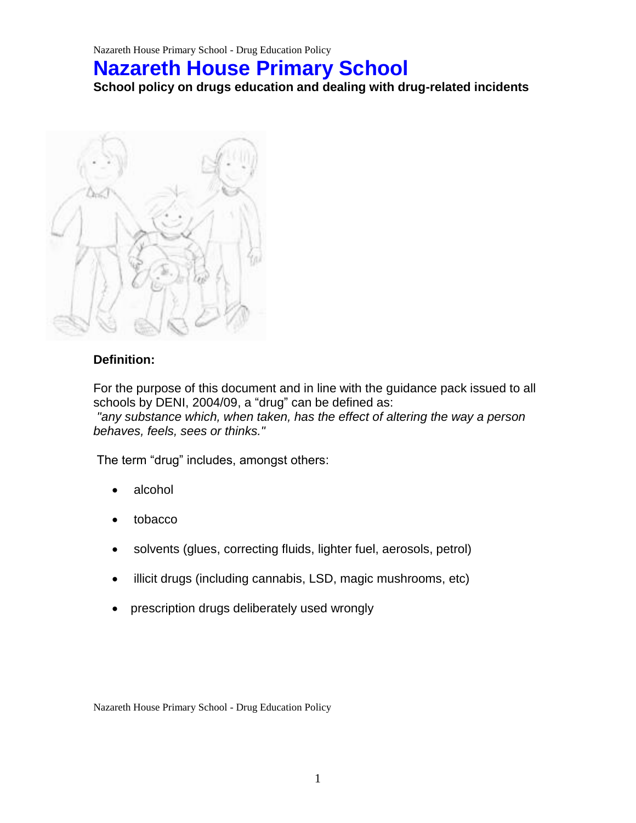# **Nazareth House Primary School**

**School policy on drugs education and dealing with drug-related incidents** 



#### **Definition:**

For the purpose of this document and in line with the guidance pack issued to all schools by DENI, 2004/09, a "drug" can be defined as: *"any substance which, when taken, has the effect of altering the way a person behaves, feels, sees or thinks."*

The term "drug" includes, amongst others:

- alcohol
- tobacco
- solvents (glues, correcting fluids, lighter fuel, aerosols, petrol)
- illicit drugs (including cannabis, LSD, magic mushrooms, etc)
- prescription drugs deliberately used wrongly

Nazareth House Primary School - Drug Education Policy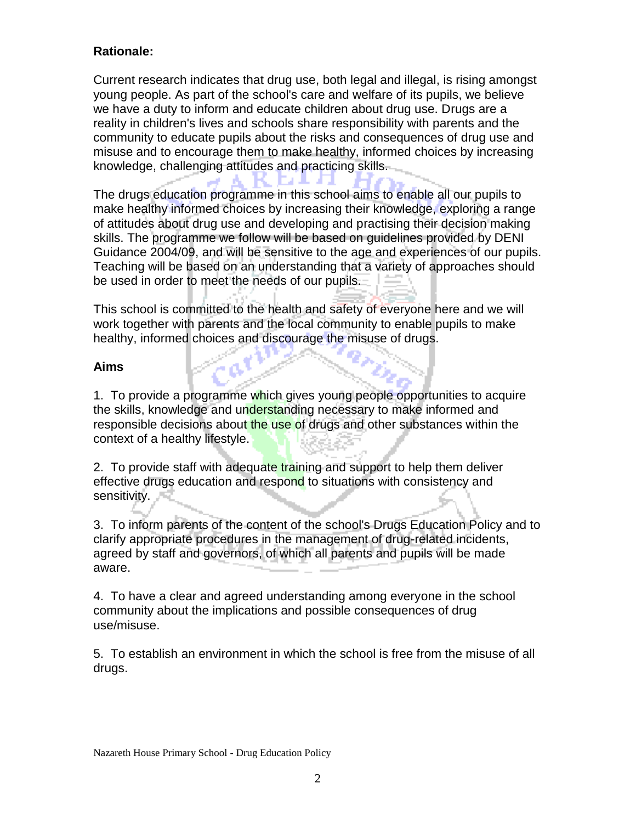## **Rationale:**

Current research indicates that drug use, both legal and illegal, is rising amongst young people. As part of the school's care and welfare of its pupils, we believe we have a duty to inform and educate children about drug use. Drugs are a reality in children's lives and schools share responsibility with parents and the community to educate pupils about the risks and consequences of drug use and misuse and to encourage them to make healthy, informed choices by increasing knowledge, challenging attitudes and practicing skills.

EA ANTA

The drugs education programme in this school aims to enable all our pupils to make healthy informed choices by increasing their knowledge, exploring a range of attitudes about drug use and developing and practising their decision making skills. The programme we follow will be based on guidelines provided by DENI Guidance 2004/09, and will be sensitive to the age and experiences of our pupils. Teaching will be based on an understanding that a variety of approaches should be used in order to meet the needs of our pupils.

This school is committed to the health and safety of everyone here and we will work together with parents and the local community to enable pupils to make healthy, informed choices and discourage the misuse of drugs.

#### **Aims**

1. To provide a programme which gives young people opportunities to acquire the skills, knowledge and understanding necessary to make informed and responsible decisions about the use of drugs and other substances within the context of a healthy lifestyle.

2. To provide staff with adequate training and support to help them deliver effective drugs education and respond to situations with consistency and sensitivity.

3. To inform parents of the content of the school's Drugs Education Policy and to clarify appropriate procedures in the management of drug-related incidents, agreed by staff and governors, of which all parents and pupils will be made aware.

4. To have a clear and agreed understanding among everyone in the school community about the implications and possible consequences of drug use/misuse.

5. To establish an environment in which the school is free from the misuse of all drugs.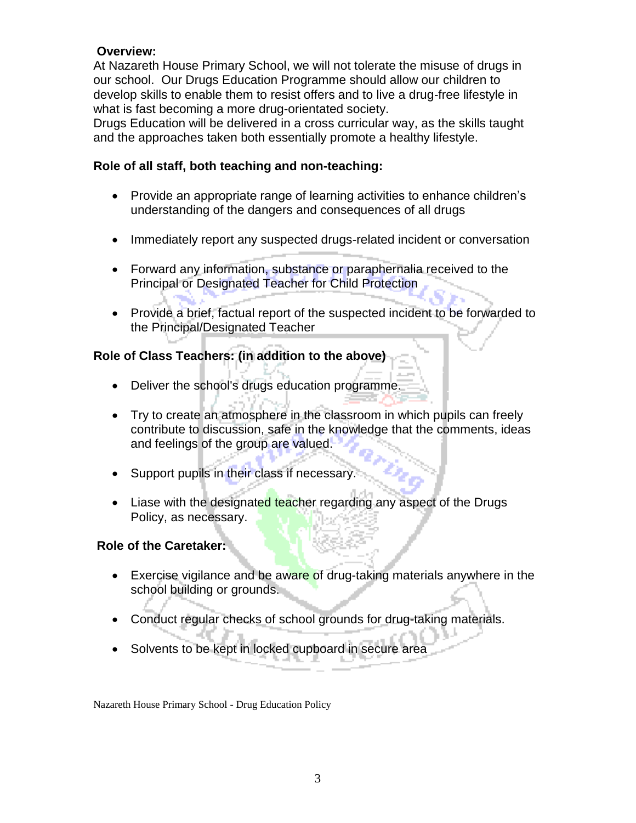### **Overview:**

At Nazareth House Primary School, we will not tolerate the misuse of drugs in our school. Our Drugs Education Programme should allow our children to develop skills to enable them to resist offers and to live a drug-free lifestyle in what is fast becoming a more drug-orientated society.

Drugs Education will be delivered in a cross curricular way, as the skills taught and the approaches taken both essentially promote a healthy lifestyle.

#### **Role of all staff, both teaching and non-teaching:**

- Provide an appropriate range of learning activities to enhance children's understanding of the dangers and consequences of all drugs
- Immediately report any suspected drugs-related incident or conversation
- Forward any information, substance or paraphernalia received to the Principal or Designated Teacher for Child Protection
- Provide a brief, factual report of the suspected incident to be forwarded to the Principal/Designated Teacher

## **Role of Class Teachers: (in addition to the above)**

- Deliver the school's drugs education programme.
- Try to create an atmosphere in the classroom in which pupils can freely contribute to discussion, safe in the knowledge that the comments, ideas and feelings of the group are valued.
- Support pupils in their class if necessary.
- Liase with the designated teacher regarding any aspect of the Drugs Policy, as necessary.

#### **Role of the Caretaker:**

- Exercise vigilance and be aware of drug-taking materials anywhere in the school building or grounds.
- Conduct regular checks of school grounds for drug-taking materials.
- Solvents to be kept in locked cupboard in secure area

Nazareth House Primary School - Drug Education Policy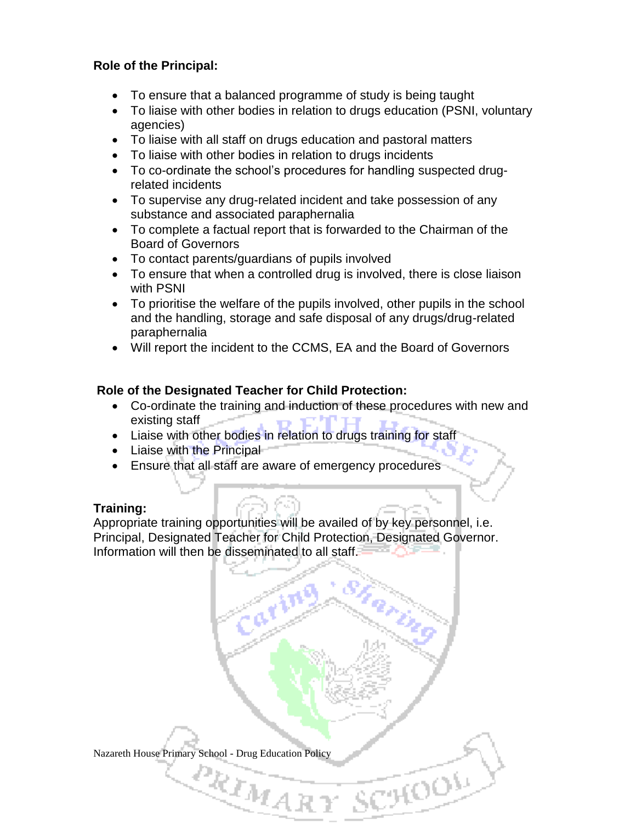## **Role of the Principal:**

- To ensure that a balanced programme of study is being taught
- To liaise with other bodies in relation to drugs education (PSNI, voluntary agencies)
- To liaise with all staff on drugs education and pastoral matters
- To liaise with other bodies in relation to drugs incidents
- To co-ordinate the school's procedures for handling suspected drugrelated incidents
- To supervise any drug-related incident and take possession of any substance and associated paraphernalia
- To complete a factual report that is forwarded to the Chairman of the Board of Governors
- To contact parents/guardians of pupils involved
- To ensure that when a controlled drug is involved, there is close liaison with PSNI
- To prioritise the welfare of the pupils involved, other pupils in the school and the handling, storage and safe disposal of any drugs/drug-related paraphernalia
- Will report the incident to the CCMS, EA and the Board of Governors

## **Role of the Designated Teacher for Child Protection:**

- Co-ordinate the training and induction of these procedures with new and existing staff
- Liaise with other bodies in relation to drugs training for staff
- Liaise with the Principal
- Ensure that all staff are aware of emergency procedures

#### **Training:**

Appropriate training opportunities will be availed of by key personnel, i.e. Principal, Designated Teacher for Child Protection, Designated Governor. Information will then be disseminated to all staff.

Nazareth House Primary School - Drug Education Policy

 $e_{\boldsymbol{k_{I_{\mathcal{H}}_{\mathcal{A}\mathcal{R}}}}}$ 

**COOP**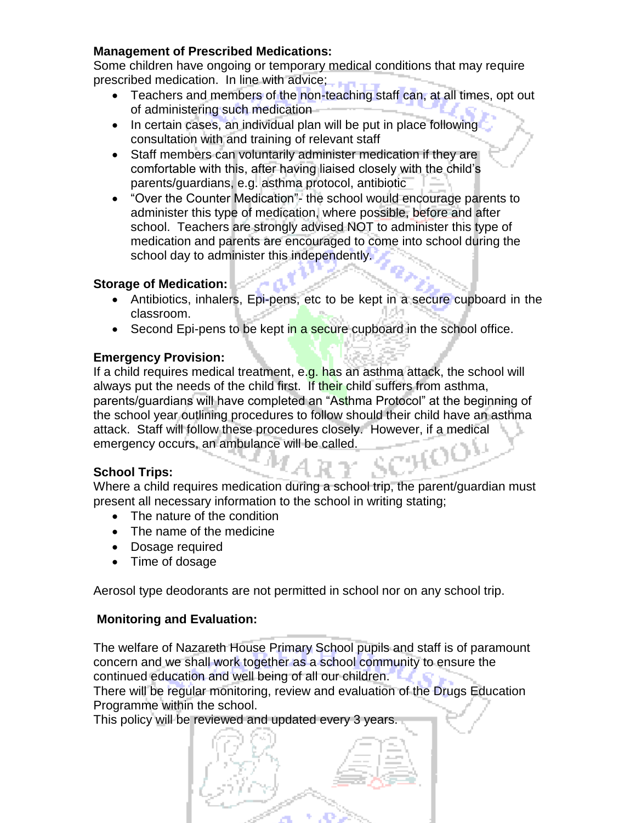## **Management of Prescribed Medications:**

Some children have ongoing or temporary medical conditions that may require prescribed medication. In line with advice;

- Teachers and members of the non-teaching staff can, at all times, opt out of administering such medication
- In certain cases, an individual plan will be put in place following consultation with and training of relevant staff
- Staff members can voluntarily administer medication if they are comfortable with this, after having liaised closely with the child's parents/guardians, e.g. asthma protocol, antibiotic
- "Over the Counter Medication"- the school would encourage parents to administer this type of medication, where possible, before and after school. Teachers are strongly advised NOT to administer this type of medication and parents are encouraged to come into school during the school day to administer this independently.

#### **Storage of Medication:**

- Antibiotics, inhalers, Epi-pens, etc to be kept in a secure cupboard in the classroom.
- Second Epi-pens to be kept in a secure cupboard in the school office.

### **Emergency Provision:**

If a child requires medical treatment, e.g. has an asthma attack, the school will always put the needs of the child first. If their child suffers from asthma, parents/guardians will have completed an "Asthma Protocol" at the beginning of the school year outlining procedures to follow should their child have an asthma attack. Staff will follow these procedures closely. However, if a medical emergency occurs, an ambulance will be called.

#### **School Trips:**

Where a child requires medication during a school trip, the parent/guardian must present all necessary information to the school in writing stating;

- The nature of the condition
- The name of the medicine
- Dosage required
- Time of dosage

Aerosol type deodorants are not permitted in school nor on any school trip.

## **Monitoring and Evaluation:**

The welfare of Nazareth House Primary School pupils and staff is of paramount concern and we shall work together as a school community to ensure the continued education and well being of all our children.

There will be regular monitoring, review and evaluation of the Drugs Education Programme within the school.

This policy will be reviewed and updated every 3 years.